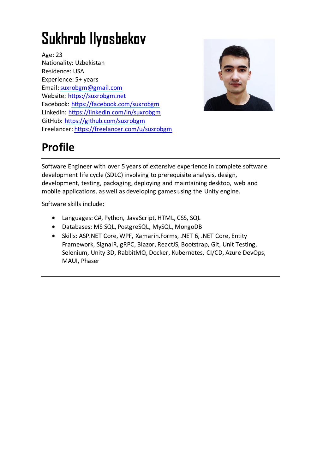# **Sukhrob Ilyosbekov**

Age: 23 Nationality: Uzbekistan Residence: USA Experience: 5+ years Email[: suxrobgm@gmail.com](mailto:suxrobgm@gmail.com) Website: [https://suxrobgm.net](https://suxrobgm.net/) Facebook:<https://facebook.com/suxrobgm> LinkedIn:<https://linkedin.com/in/suxrobgm> GitHub:<https://github.com/suxrobgm> Freelancer:<https://freelancer.com/u/suxrobgm>



# **Profile**

Software Engineer with over 5 years of extensive experience in complete software development life cycle (SDLC) involving to prerequisite analysis, design, development, testing, packaging, deploying and maintaining desktop, web and mobile applications, as well as developing games using the Unity engine.

Software skills include:

- Languages: C#, Python, JavaScript, HTML, CSS, SQL
- Databases: MS SQL, PostgreSQL, MySQL, MongoDB
- Skills: ASP.NET Core, WPF, Xamarin.Forms, .NET 6, .NET Core, Entity Framework, SignalR, gRPC, Blazor, ReactJS, Bootstrap, Git, Unit Testing, Selenium, Unity 3D, RabbitMQ, Docker, Kubernetes, CI/CD, Azure DevOps, MAUI, Phaser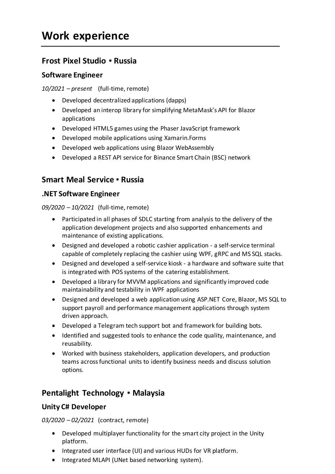# **Frost Pixel Studio ▪ Russia**

#### **Software Engineer**

*10/2021 – present* (full-time, remote)

- Developed decentralized applications (dapps)
- Developed an interop library for simplifying MetaMask's API for Blazor applications
- Developed HTML5 games using the Phaser JavaScript framework
- Developed mobile applications using Xamarin.Forms
- Developed web applications using Blazor WebAssembly
- Developed a REST API service for Binance Smart Chain (BSC) network

# **Smart Meal Service ▪ Russia**

#### **.NET Software Engineer**

*09/2020 – 10/2021* (full-time, remote)

- Participated in all phases of SDLC starting from analysis to the delivery of the application development projects and also supported enhancements and maintenance of existing applications.
- Designed and developed a robotic cashier application a self-service terminal capable of completely replacing the cashier using WPF, gRPC and MS SQL stacks.
- Designed and developed a self-service kiosk a hardware and software suite that is integrated with POS systems of the catering establishment.
- Developed a library for MVVM applications and significantly improved code maintainability and testability in WPF applications
- Designed and developed a web application using ASP.NET Core, Blazor, MS SQL to support payroll and performance management applications through system driven approach.
- Developed a Telegram tech support bot and framework for building bots.
- Identified and suggested tools to enhance the code quality, maintenance, and reusability.
- Worked with business stakeholders, application developers, and production teams across functional units to identify business needs and discuss solution options.

# **Pentalight Technology ▪ Malaysia**

### **Unity C# Developer**

*03/2020 – 02/2021* (contract, remote)

- Developed multiplayer functionality for the smart city project in the Unity platform.
- Integrated user interface (UI) and various HUDs for VR platform.
- Integrated MLAPI (UNet based networking system).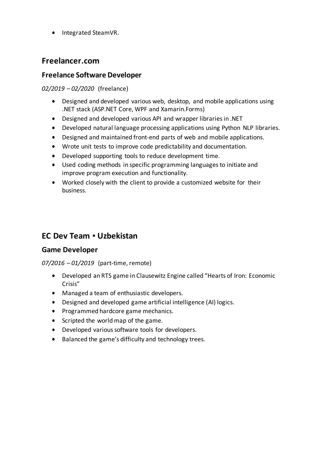• Integrated SteamVR.

### **Freelancer.com**

#### **Freelance Software Developer**

*02/2019 – 02/2020* (freelance)

- Designed and developed various web, desktop, and mobile applications using .NET stack (ASP.NET Core, WPF and Xamarin.Forms)
- Designed and developed various API and wrapper libraries in .NET
- Developed natural language processing applications using Python NLP libraries.
- Designed and maintained front-end parts of web and mobile applications.
- Wrote unit tests to improve code predictability and documentation.
- Developed supporting tools to reduce development time.
- Used coding methods in specific programming languages to initiate and improve program execution and functionality.
- Worked closely with the client to provide a customized website for their business.

# **EC Dev Team ▪ Uzbekistan**

#### **Game Developer**

#### *07/2016 – 01/2019* (part-time, remote)

- Developed an RTS game in Clausewitz Engine called "Hearts of Iron: Economic Crisis"
- Managed a team of enthusiastic developers.
- Designed and developed game artificial intelligence (AI) logics.
- Programmed hardcore game mechanics.
- Scripted the world map of the game.
- Developed various software tools for developers.
- Balanced the game's difficulty and technology trees.